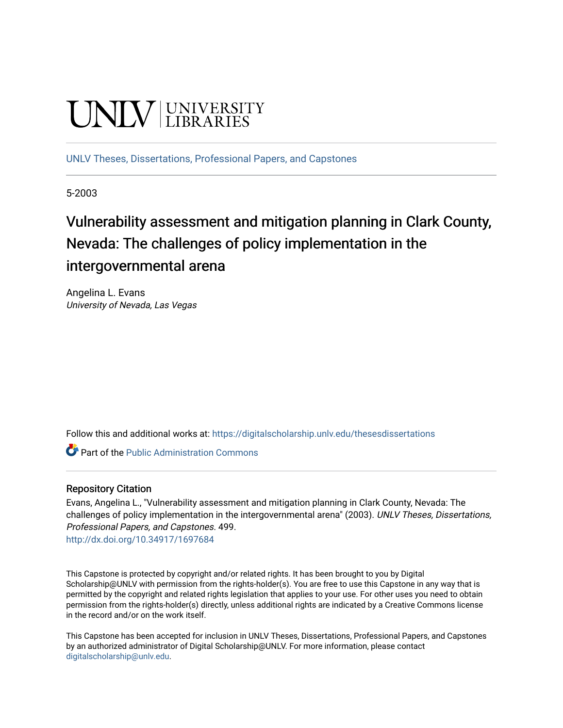# **UNIVERSITY**

[UNLV Theses, Dissertations, Professional Papers, and Capstones](https://digitalscholarship.unlv.edu/thesesdissertations)

5-2003

# Vulnerability assessment and mitigation planning in Clark County, Nevada: The challenges of policy implementation in the intergovernmental arena

Angelina L. Evans University of Nevada, Las Vegas

Follow this and additional works at: [https://digitalscholarship.unlv.edu/thesesdissertations](https://digitalscholarship.unlv.edu/thesesdissertations?utm_source=digitalscholarship.unlv.edu%2Fthesesdissertations%2F499&utm_medium=PDF&utm_campaign=PDFCoverPages)

**Part of the [Public Administration Commons](http://network.bepress.com/hgg/discipline/398?utm_source=digitalscholarship.unlv.edu%2Fthesesdissertations%2F499&utm_medium=PDF&utm_campaign=PDFCoverPages)** 

# Repository Citation

Evans, Angelina L., "Vulnerability assessment and mitigation planning in Clark County, Nevada: The challenges of policy implementation in the intergovernmental arena" (2003). UNLV Theses, Dissertations, Professional Papers, and Capstones. 499.

<http://dx.doi.org/10.34917/1697684>

This Capstone is protected by copyright and/or related rights. It has been brought to you by Digital Scholarship@UNLV with permission from the rights-holder(s). You are free to use this Capstone in any way that is permitted by the copyright and related rights legislation that applies to your use. For other uses you need to obtain permission from the rights-holder(s) directly, unless additional rights are indicated by a Creative Commons license in the record and/or on the work itself.

This Capstone has been accepted for inclusion in UNLV Theses, Dissertations, Professional Papers, and Capstones by an authorized administrator of Digital Scholarship@UNLV. For more information, please contact [digitalscholarship@unlv.edu](mailto:digitalscholarship@unlv.edu).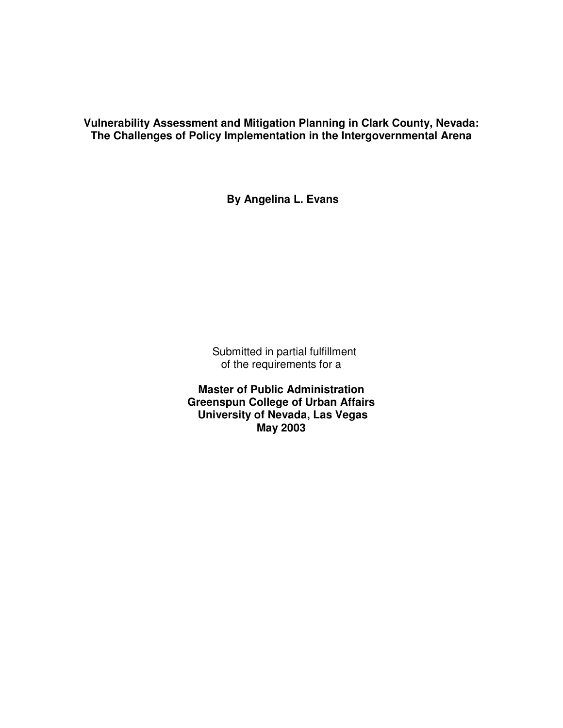**Vulnerability Assessment and Mitigation Planning in Clark County, Nevada: The Challenges of Policy Implementation in the Intergovernmental Arena** 

**By Angelina L. Evans** 

 Submitted in partial fulfillment of the requirements for a

**Master of Public Administration Greenspun College of Urban Affairs University of Nevada, Las Vegas May 2003**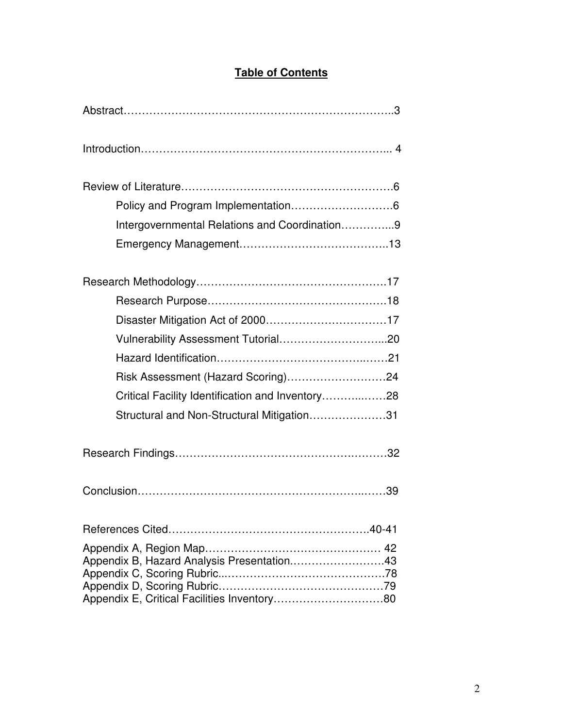# **Table of Contents**

| Intergovernmental Relations and Coordination9    |  |  |  |  |
|--------------------------------------------------|--|--|--|--|
|                                                  |  |  |  |  |
|                                                  |  |  |  |  |
|                                                  |  |  |  |  |
|                                                  |  |  |  |  |
|                                                  |  |  |  |  |
|                                                  |  |  |  |  |
| Risk Assessment (Hazard Scoring)24               |  |  |  |  |
| Critical Facility Identification and Inventory28 |  |  |  |  |
| Structural and Non-Structural Mitigation31       |  |  |  |  |
|                                                  |  |  |  |  |
|                                                  |  |  |  |  |
|                                                  |  |  |  |  |
|                                                  |  |  |  |  |
| Appendix B, Hazard Analysis Presentation43       |  |  |  |  |
|                                                  |  |  |  |  |
| Appendix E, Critical Facilities Inventory80      |  |  |  |  |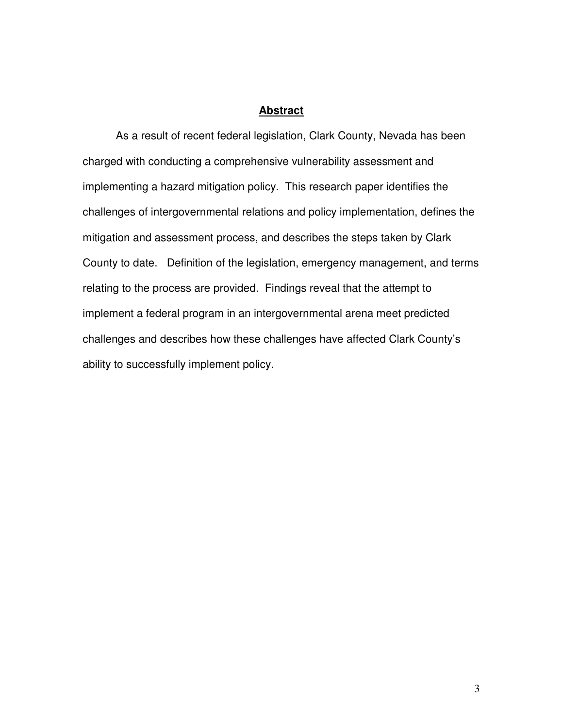### **Abstract**

As a result of recent federal legislation, Clark County, Nevada has been charged with conducting a comprehensive vulnerability assessment and implementing a hazard mitigation policy. This research paper identifies the challenges of intergovernmental relations and policy implementation, defines the mitigation and assessment process, and describes the steps taken by Clark County to date. Definition of the legislation, emergency management, and terms relating to the process are provided. Findings reveal that the attempt to implement a federal program in an intergovernmental arena meet predicted challenges and describes how these challenges have affected Clark County's ability to successfully implement policy.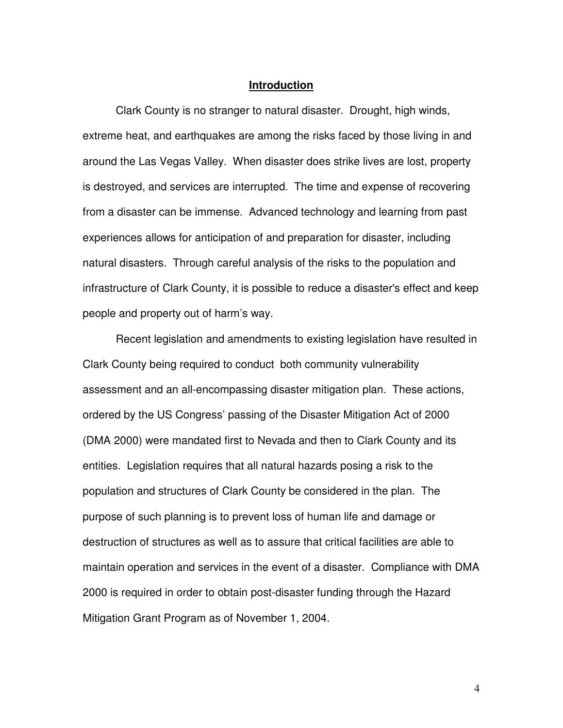#### **Introduction**

Clark County is no stranger to natural disaster. Drought, high winds, extreme heat, and earthquakes are among the risks faced by those living in and around the Las Vegas Valley. When disaster does strike lives are lost, property is destroyed, and services are interrupted. The time and expense of recovering from a disaster can be immense. Advanced technology and learning from past experiences allows for anticipation of and preparation for disaster, including natural disasters. Through careful analysis of the risks to the population and infrastructure of Clark County, it is possible to reduce a disaster's effect and keep people and property out of harm's way.

Recent legislation and amendments to existing legislation have resulted in Clark County being required to conduct both community vulnerability assessment and an all-encompassing disaster mitigation plan. These actions, ordered by the US Congress' passing of the Disaster Mitigation Act of 2000 (DMA 2000) were mandated first to Nevada and then to Clark County and its entities. Legislation requires that all natural hazards posing a risk to the population and structures of Clark County be considered in the plan. The purpose of such planning is to prevent loss of human life and damage or destruction of structures as well as to assure that critical facilities are able to maintain operation and services in the event of a disaster. Compliance with DMA 2000 is required in order to obtain post-disaster funding through the Hazard Mitigation Grant Program as of November 1, 2004.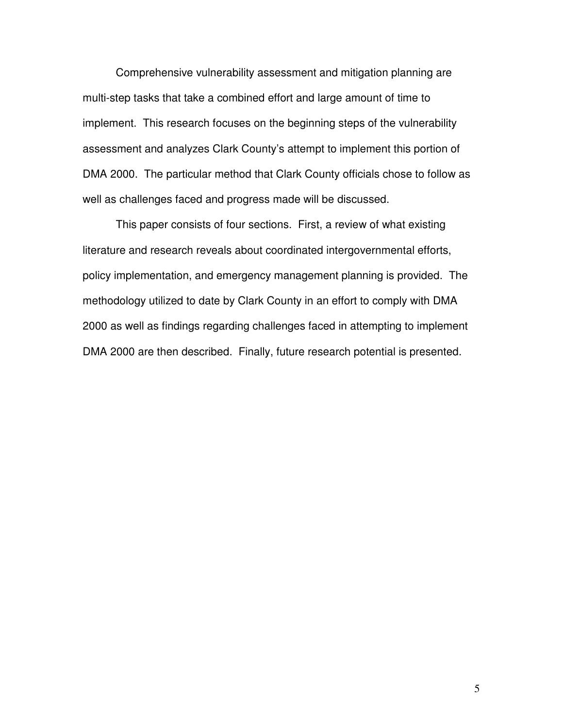Comprehensive vulnerability assessment and mitigation planning are multi-step tasks that take a combined effort and large amount of time to implement. This research focuses on the beginning steps of the vulnerability assessment and analyzes Clark County's attempt to implement this portion of DMA 2000. The particular method that Clark County officials chose to follow as well as challenges faced and progress made will be discussed.

This paper consists of four sections. First, a review of what existing literature and research reveals about coordinated intergovernmental efforts, policy implementation, and emergency management planning is provided. The methodology utilized to date by Clark County in an effort to comply with DMA 2000 as well as findings regarding challenges faced in attempting to implement DMA 2000 are then described. Finally, future research potential is presented.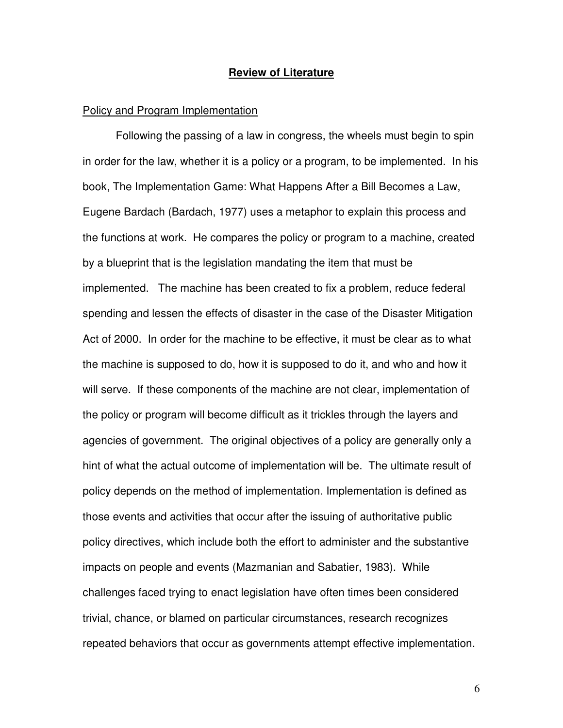#### **Review of Literature**

#### Policy and Program Implementation

 Following the passing of a law in congress, the wheels must begin to spin in order for the law, whether it is a policy or a program, to be implemented. In his book, The Implementation Game: What Happens After a Bill Becomes a Law, Eugene Bardach (Bardach, 1977) uses a metaphor to explain this process and the functions at work. He compares the policy or program to a machine, created by a blueprint that is the legislation mandating the item that must be implemented. The machine has been created to fix a problem, reduce federal spending and lessen the effects of disaster in the case of the Disaster Mitigation Act of 2000. In order for the machine to be effective, it must be clear as to what the machine is supposed to do, how it is supposed to do it, and who and how it will serve. If these components of the machine are not clear, implementation of the policy or program will become difficult as it trickles through the layers and agencies of government. The original objectives of a policy are generally only a hint of what the actual outcome of implementation will be. The ultimate result of policy depends on the method of implementation. Implementation is defined as those events and activities that occur after the issuing of authoritative public policy directives, which include both the effort to administer and the substantive impacts on people and events (Mazmanian and Sabatier, 1983). While challenges faced trying to enact legislation have often times been considered trivial, chance, or blamed on particular circumstances, research recognizes repeated behaviors that occur as governments attempt effective implementation.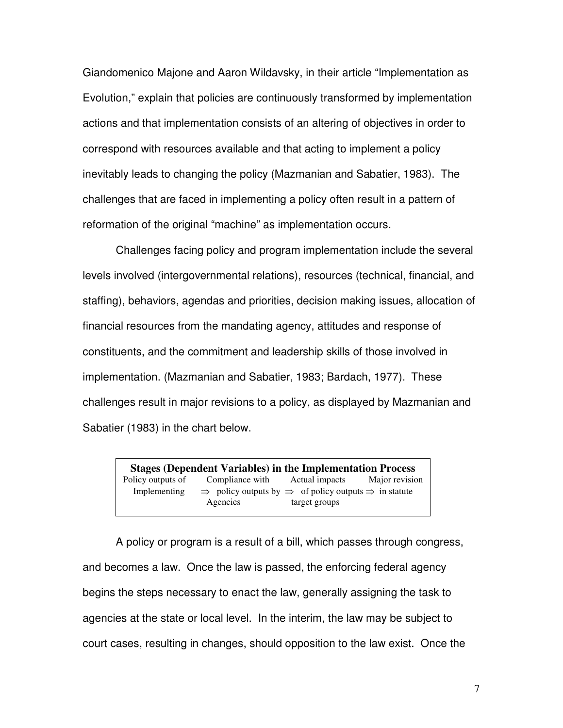Giandomenico Majone and Aaron Wildavsky, in their article "Implementation as Evolution," explain that policies are continuously transformed by implementation actions and that implementation consists of an altering of objectives in order to correspond with resources available and that acting to implement a policy inevitably leads to changing the policy (Mazmanian and Sabatier, 1983). The challenges that are faced in implementing a policy often result in a pattern of reformation of the original "machine" as implementation occurs.

 Challenges facing policy and program implementation include the several levels involved (intergovernmental relations), resources (technical, financial, and staffing), behaviors, agendas and priorities, decision making issues, allocation of financial resources from the mandating agency, attitudes and response of constituents, and the commitment and leadership skills of those involved in implementation. (Mazmanian and Sabatier, 1983; Bardach, 1977). These challenges result in major revisions to a policy, as displayed by Mazmanian and Sabatier (1983) in the chart below.

**Stages (Dependent Variables) in the Implementation Process**<br>Policy outputs of Compliance with Actual impacts Major revision Compliance with Implementing  $\Rightarrow$  policy outputs by  $\Rightarrow$  of policy outputs  $\Rightarrow$  in statute Agencies target groups

 A policy or program is a result of a bill, which passes through congress, and becomes a law. Once the law is passed, the enforcing federal agency begins the steps necessary to enact the law, generally assigning the task to agencies at the state or local level. In the interim, the law may be subject to court cases, resulting in changes, should opposition to the law exist. Once the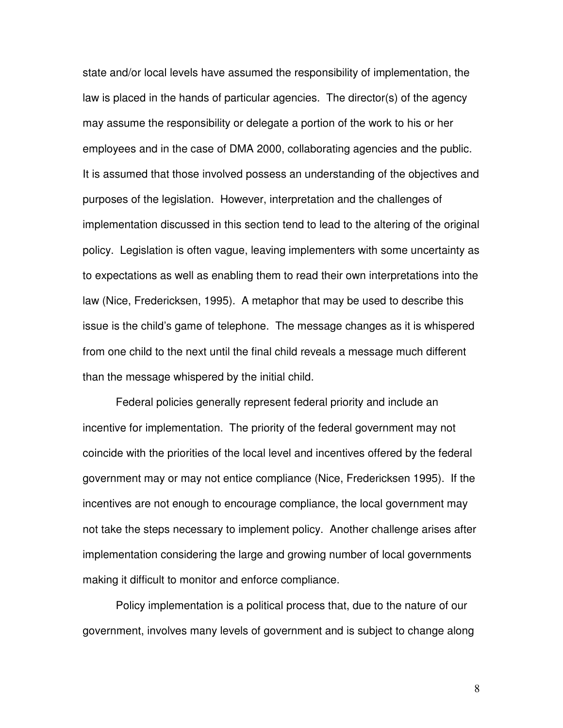state and/or local levels have assumed the responsibility of implementation, the law is placed in the hands of particular agencies. The director(s) of the agency may assume the responsibility or delegate a portion of the work to his or her employees and in the case of DMA 2000, collaborating agencies and the public. It is assumed that those involved possess an understanding of the objectives and purposes of the legislation. However, interpretation and the challenges of implementation discussed in this section tend to lead to the altering of the original policy. Legislation is often vague, leaving implementers with some uncertainty as to expectations as well as enabling them to read their own interpretations into the law (Nice, Fredericksen, 1995). A metaphor that may be used to describe this issue is the child's game of telephone. The message changes as it is whispered from one child to the next until the final child reveals a message much different than the message whispered by the initial child.

 Federal policies generally represent federal priority and include an incentive for implementation. The priority of the federal government may not coincide with the priorities of the local level and incentives offered by the federal government may or may not entice compliance (Nice, Fredericksen 1995). If the incentives are not enough to encourage compliance, the local government may not take the steps necessary to implement policy. Another challenge arises after implementation considering the large and growing number of local governments making it difficult to monitor and enforce compliance.

 Policy implementation is a political process that, due to the nature of our government, involves many levels of government and is subject to change along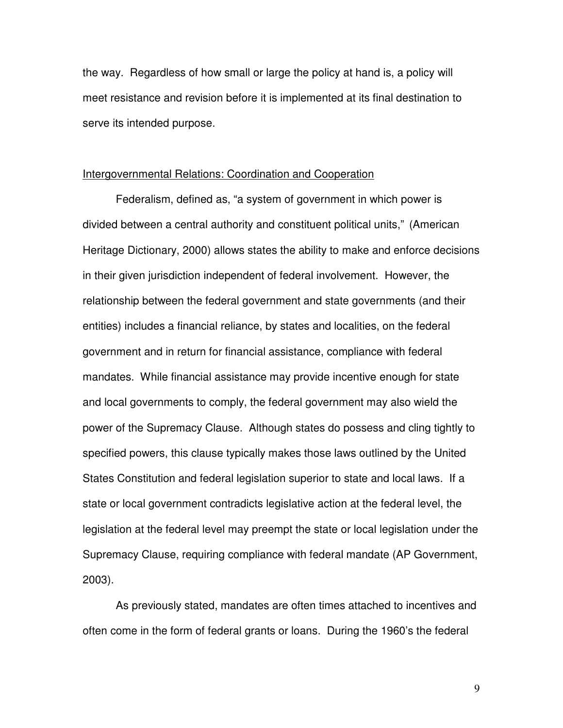the way. Regardless of how small or large the policy at hand is, a policy will meet resistance and revision before it is implemented at its final destination to serve its intended purpose.

# Intergovernmental Relations: Coordination and Cooperation

Federalism, defined as, "a system of government in which power is divided between a central authority and constituent political units," (American Heritage Dictionary, 2000) allows states the ability to make and enforce decisions in their given jurisdiction independent of federal involvement. However, the relationship between the federal government and state governments (and their entities) includes a financial reliance, by states and localities, on the federal government and in return for financial assistance, compliance with federal mandates. While financial assistance may provide incentive enough for state and local governments to comply, the federal government may also wield the power of the Supremacy Clause. Although states do possess and cling tightly to specified powers, this clause typically makes those laws outlined by the United States Constitution and federal legislation superior to state and local laws. If a state or local government contradicts legislative action at the federal level, the legislation at the federal level may preempt the state or local legislation under the Supremacy Clause, requiring compliance with federal mandate (AP Government, 2003).

 As previously stated, mandates are often times attached to incentives and often come in the form of federal grants or loans. During the 1960's the federal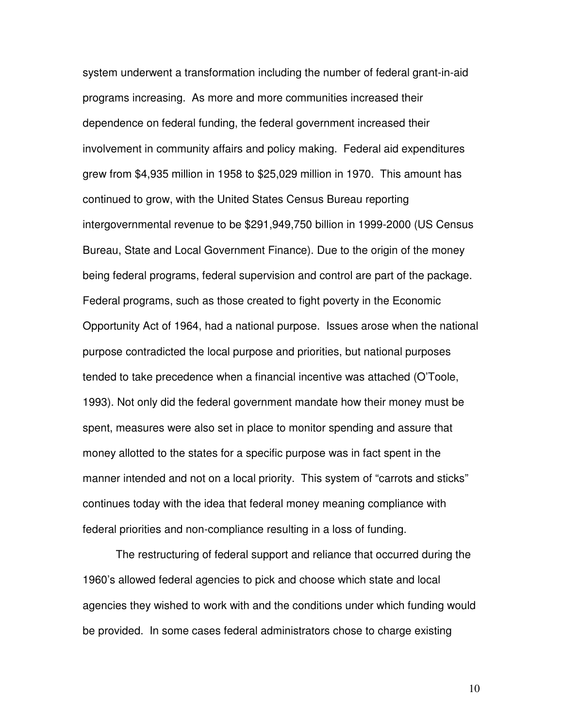system underwent a transformation including the number of federal grant-in-aid programs increasing. As more and more communities increased their dependence on federal funding, the federal government increased their involvement in community affairs and policy making. Federal aid expenditures grew from \$4,935 million in 1958 to \$25,029 million in 1970. This amount has continued to grow, with the United States Census Bureau reporting intergovernmental revenue to be \$291,949,750 billion in 1999-2000 (US Census Bureau, State and Local Government Finance). Due to the origin of the money being federal programs, federal supervision and control are part of the package. Federal programs, such as those created to fight poverty in the Economic Opportunity Act of 1964, had a national purpose. Issues arose when the national purpose contradicted the local purpose and priorities, but national purposes tended to take precedence when a financial incentive was attached (O'Toole, 1993). Not only did the federal government mandate how their money must be spent, measures were also set in place to monitor spending and assure that money allotted to the states for a specific purpose was in fact spent in the manner intended and not on a local priority. This system of "carrots and sticks" continues today with the idea that federal money meaning compliance with federal priorities and non-compliance resulting in a loss of funding.

 The restructuring of federal support and reliance that occurred during the 1960's allowed federal agencies to pick and choose which state and local agencies they wished to work with and the conditions under which funding would be provided. In some cases federal administrators chose to charge existing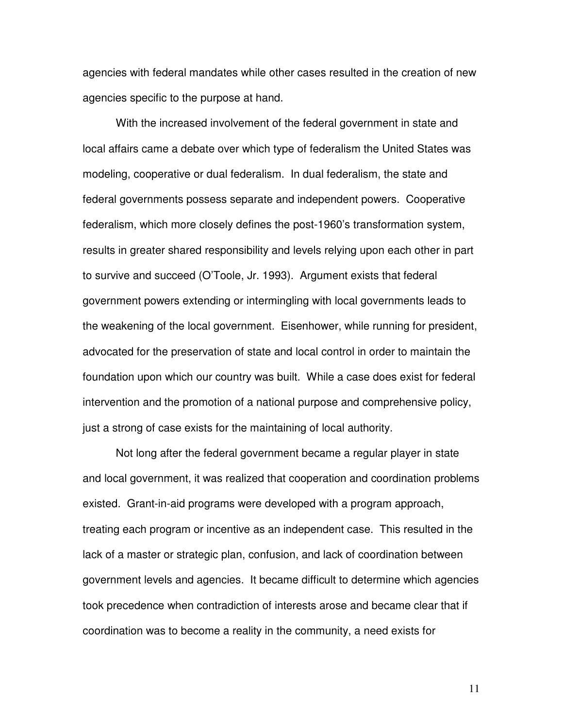agencies with federal mandates while other cases resulted in the creation of new agencies specific to the purpose at hand.

 With the increased involvement of the federal government in state and local affairs came a debate over which type of federalism the United States was modeling, cooperative or dual federalism. In dual federalism, the state and federal governments possess separate and independent powers. Cooperative federalism, which more closely defines the post-1960's transformation system, results in greater shared responsibility and levels relying upon each other in part to survive and succeed (O'Toole, Jr. 1993). Argument exists that federal government powers extending or intermingling with local governments leads to the weakening of the local government. Eisenhower, while running for president, advocated for the preservation of state and local control in order to maintain the foundation upon which our country was built. While a case does exist for federal intervention and the promotion of a national purpose and comprehensive policy, just a strong of case exists for the maintaining of local authority.

 Not long after the federal government became a regular player in state and local government, it was realized that cooperation and coordination problems existed. Grant-in-aid programs were developed with a program approach, treating each program or incentive as an independent case. This resulted in the lack of a master or strategic plan, confusion, and lack of coordination between government levels and agencies. It became difficult to determine which agencies took precedence when contradiction of interests arose and became clear that if coordination was to become a reality in the community, a need exists for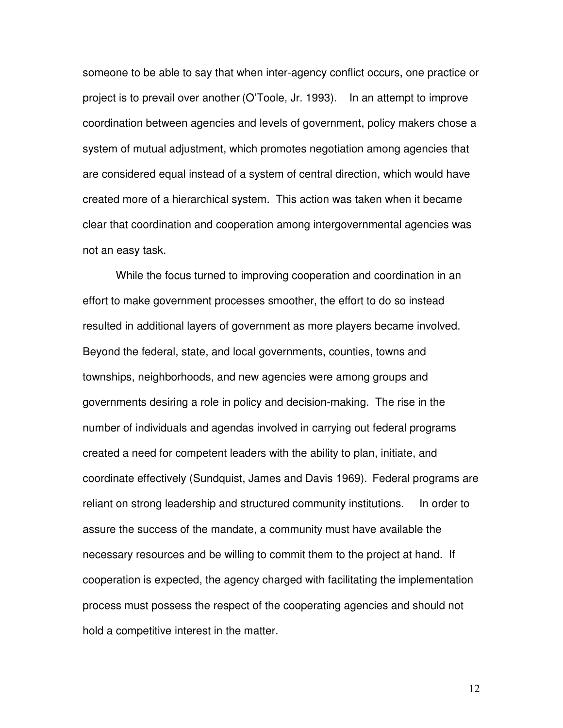someone to be able to say that when inter-agency conflict occurs, one practice or project is to prevail over another (O'Toole, Jr. 1993). In an attempt to improve coordination between agencies and levels of government, policy makers chose a system of mutual adjustment, which promotes negotiation among agencies that are considered equal instead of a system of central direction, which would have created more of a hierarchical system. This action was taken when it became clear that coordination and cooperation among intergovernmental agencies was not an easy task.

 While the focus turned to improving cooperation and coordination in an effort to make government processes smoother, the effort to do so instead resulted in additional layers of government as more players became involved. Beyond the federal, state, and local governments, counties, towns and townships, neighborhoods, and new agencies were among groups and governments desiring a role in policy and decision-making. The rise in the number of individuals and agendas involved in carrying out federal programs created a need for competent leaders with the ability to plan, initiate, and coordinate effectively (Sundquist, James and Davis 1969). Federal programs are reliant on strong leadership and structured community institutions. In order to assure the success of the mandate, a community must have available the necessary resources and be willing to commit them to the project at hand. If cooperation is expected, the agency charged with facilitating the implementation process must possess the respect of the cooperating agencies and should not hold a competitive interest in the matter.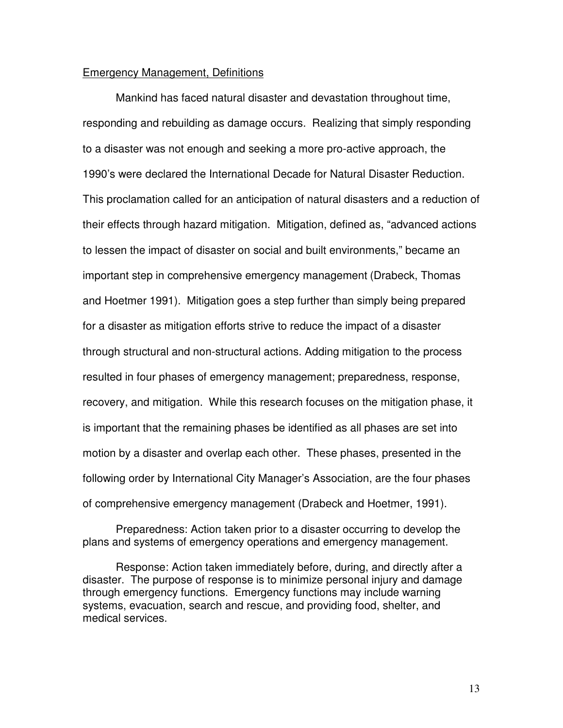# Emergency Management, Definitions

Mankind has faced natural disaster and devastation throughout time, responding and rebuilding as damage occurs. Realizing that simply responding to a disaster was not enough and seeking a more pro-active approach, the 1990's were declared the International Decade for Natural Disaster Reduction. This proclamation called for an anticipation of natural disasters and a reduction of their effects through hazard mitigation. Mitigation, defined as, "advanced actions to lessen the impact of disaster on social and built environments," became an important step in comprehensive emergency management (Drabeck, Thomas and Hoetmer 1991). Mitigation goes a step further than simply being prepared for a disaster as mitigation efforts strive to reduce the impact of a disaster through structural and non-structural actions. Adding mitigation to the process resulted in four phases of emergency management; preparedness, response, recovery, and mitigation. While this research focuses on the mitigation phase, it is important that the remaining phases be identified as all phases are set into motion by a disaster and overlap each other. These phases, presented in the following order by International City Manager's Association, are the four phases of comprehensive emergency management (Drabeck and Hoetmer, 1991).

 Preparedness: Action taken prior to a disaster occurring to develop the plans and systems of emergency operations and emergency management.

 Response: Action taken immediately before, during, and directly after a disaster. The purpose of response is to minimize personal injury and damage through emergency functions. Emergency functions may include warning systems, evacuation, search and rescue, and providing food, shelter, and medical services.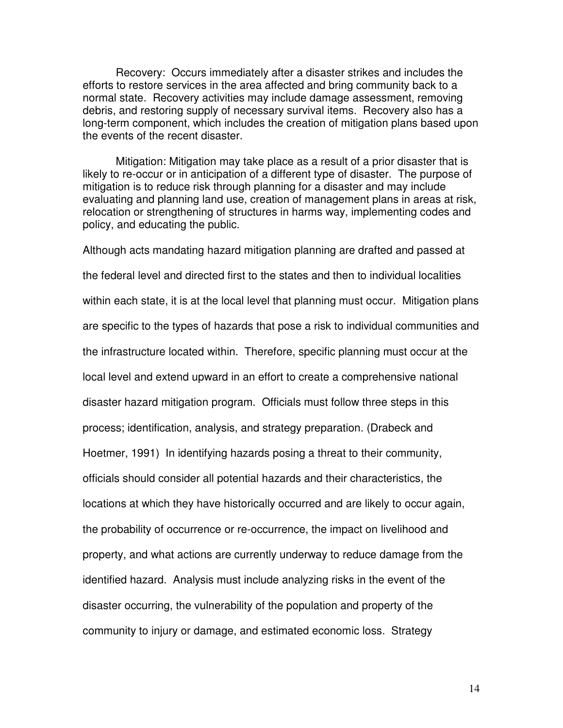Recovery: Occurs immediately after a disaster strikes and includes the efforts to restore services in the area affected and bring community back to a normal state. Recovery activities may include damage assessment, removing debris, and restoring supply of necessary survival items. Recovery also has a long-term component, which includes the creation of mitigation plans based upon the events of the recent disaster.

 Mitigation: Mitigation may take place as a result of a prior disaster that is likely to re-occur or in anticipation of a different type of disaster. The purpose of mitigation is to reduce risk through planning for a disaster and may include evaluating and planning land use, creation of management plans in areas at risk, relocation or strengthening of structures in harms way, implementing codes and policy, and educating the public.

Although acts mandating hazard mitigation planning are drafted and passed at the federal level and directed first to the states and then to individual localities within each state, it is at the local level that planning must occur. Mitigation plans are specific to the types of hazards that pose a risk to individual communities and the infrastructure located within. Therefore, specific planning must occur at the local level and extend upward in an effort to create a comprehensive national disaster hazard mitigation program. Officials must follow three steps in this process; identification, analysis, and strategy preparation. (Drabeck and Hoetmer, 1991) In identifying hazards posing a threat to their community, officials should consider all potential hazards and their characteristics, the locations at which they have historically occurred and are likely to occur again, the probability of occurrence or re-occurrence, the impact on livelihood and property, and what actions are currently underway to reduce damage from the identified hazard. Analysis must include analyzing risks in the event of the disaster occurring, the vulnerability of the population and property of the community to injury or damage, and estimated economic loss. Strategy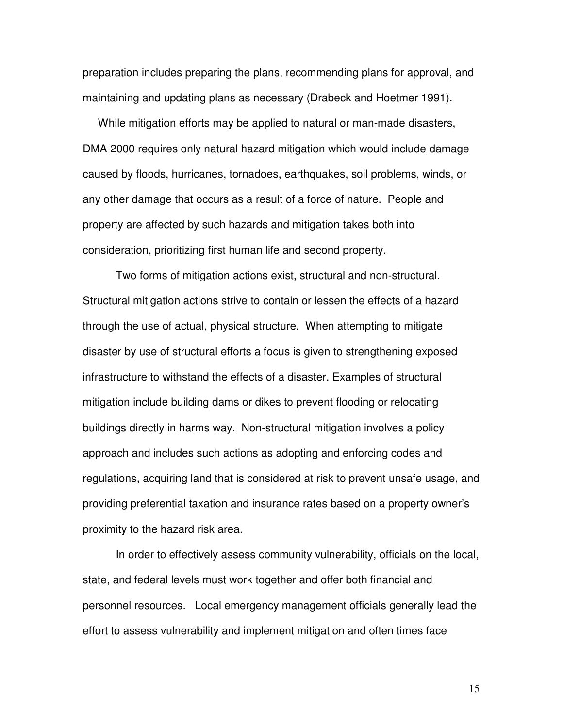preparation includes preparing the plans, recommending plans for approval, and maintaining and updating plans as necessary (Drabeck and Hoetmer 1991).

 While mitigation efforts may be applied to natural or man-made disasters, DMA 2000 requires only natural hazard mitigation which would include damage caused by floods, hurricanes, tornadoes, earthquakes, soil problems, winds, or any other damage that occurs as a result of a force of nature. People and property are affected by such hazards and mitigation takes both into consideration, prioritizing first human life and second property.

 Two forms of mitigation actions exist, structural and non-structural. Structural mitigation actions strive to contain or lessen the effects of a hazard through the use of actual, physical structure. When attempting to mitigate disaster by use of structural efforts a focus is given to strengthening exposed infrastructure to withstand the effects of a disaster. Examples of structural mitigation include building dams or dikes to prevent flooding or relocating buildings directly in harms way. Non-structural mitigation involves a policy approach and includes such actions as adopting and enforcing codes and regulations, acquiring land that is considered at risk to prevent unsafe usage, and providing preferential taxation and insurance rates based on a property owner's proximity to the hazard risk area.

 In order to effectively assess community vulnerability, officials on the local, state, and federal levels must work together and offer both financial and personnel resources. Local emergency management officials generally lead the effort to assess vulnerability and implement mitigation and often times face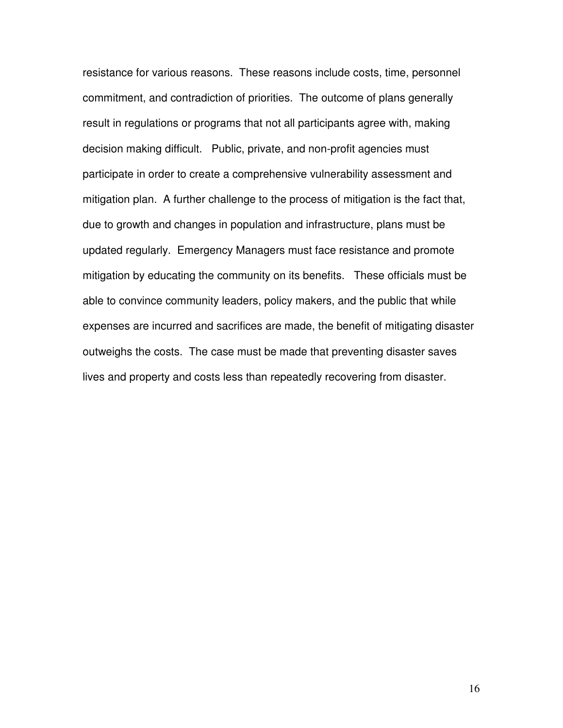resistance for various reasons. These reasons include costs, time, personnel commitment, and contradiction of priorities. The outcome of plans generally result in regulations or programs that not all participants agree with, making decision making difficult. Public, private, and non-profit agencies must participate in order to create a comprehensive vulnerability assessment and mitigation plan. A further challenge to the process of mitigation is the fact that, due to growth and changes in population and infrastructure, plans must be updated regularly. Emergency Managers must face resistance and promote mitigation by educating the community on its benefits. These officials must be able to convince community leaders, policy makers, and the public that while expenses are incurred and sacrifices are made, the benefit of mitigating disaster outweighs the costs. The case must be made that preventing disaster saves lives and property and costs less than repeatedly recovering from disaster.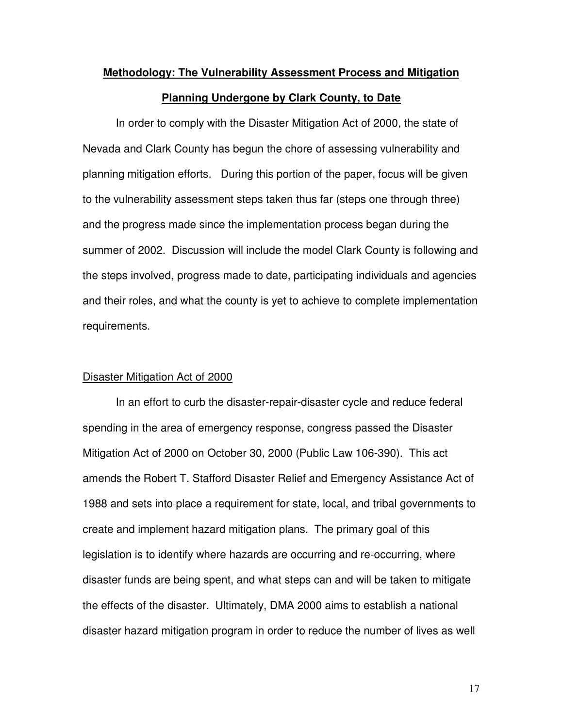# **Methodology: The Vulnerability Assessment Process and Mitigation Planning Undergone by Clark County, to Date**

 In order to comply with the Disaster Mitigation Act of 2000, the state of Nevada and Clark County has begun the chore of assessing vulnerability and planning mitigation efforts. During this portion of the paper, focus will be given to the vulnerability assessment steps taken thus far (steps one through three) and the progress made since the implementation process began during the summer of 2002. Discussion will include the model Clark County is following and the steps involved, progress made to date, participating individuals and agencies and their roles, and what the county is yet to achieve to complete implementation requirements.

#### Disaster Mitigation Act of 2000

In an effort to curb the disaster-repair-disaster cycle and reduce federal spending in the area of emergency response, congress passed the Disaster Mitigation Act of 2000 on October 30, 2000 (Public Law 106-390). This act amends the Robert T. Stafford Disaster Relief and Emergency Assistance Act of 1988 and sets into place a requirement for state, local, and tribal governments to create and implement hazard mitigation plans. The primary goal of this legislation is to identify where hazards are occurring and re-occurring, where disaster funds are being spent, and what steps can and will be taken to mitigate the effects of the disaster. Ultimately, DMA 2000 aims to establish a national disaster hazard mitigation program in order to reduce the number of lives as well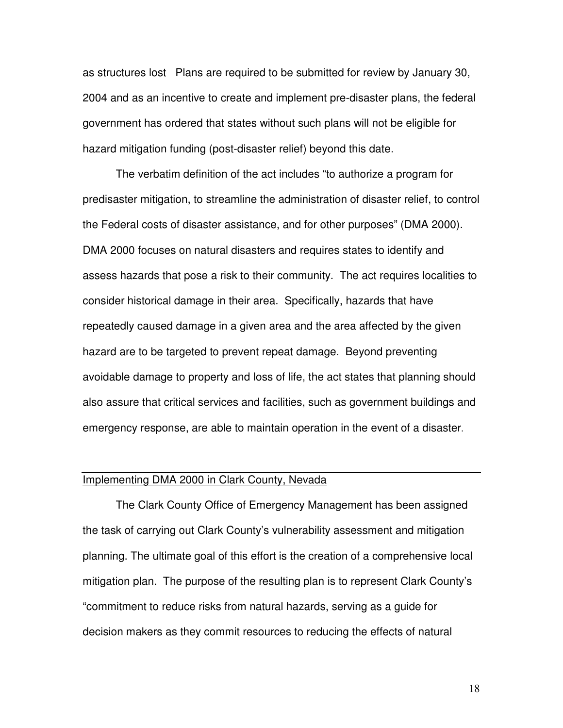as structures lost Plans are required to be submitted for review by January 30, 2004 and as an incentive to create and implement pre-disaster plans, the federal government has ordered that states without such plans will not be eligible for hazard mitigation funding (post-disaster relief) beyond this date.

The verbatim definition of the act includes "to authorize a program for predisaster mitigation, to streamline the administration of disaster relief, to control the Federal costs of disaster assistance, and for other purposes" (DMA 2000). DMA 2000 focuses on natural disasters and requires states to identify and assess hazards that pose a risk to their community. The act requires localities to consider historical damage in their area. Specifically, hazards that have repeatedly caused damage in a given area and the area affected by the given hazard are to be targeted to prevent repeat damage. Beyond preventing avoidable damage to property and loss of life, the act states that planning should also assure that critical services and facilities, such as government buildings and emergency response, are able to maintain operation in the event of a disaster.

#### Implementing DMA 2000 in Clark County, Nevada

The Clark County Office of Emergency Management has been assigned the task of carrying out Clark County's vulnerability assessment and mitigation planning. The ultimate goal of this effort is the creation of a comprehensive local mitigation plan. The purpose of the resulting plan is to represent Clark County's "commitment to reduce risks from natural hazards, serving as a guide for decision makers as they commit resources to reducing the effects of natural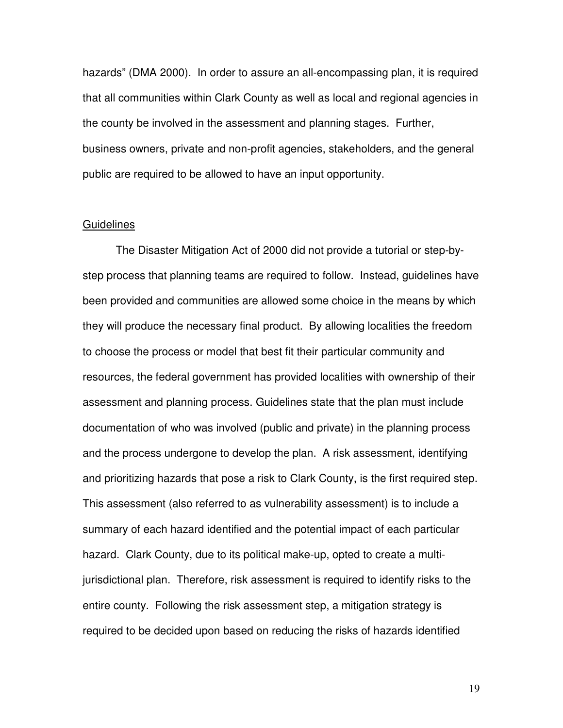hazards" (DMA 2000). In order to assure an all-encompassing plan, it is required that all communities within Clark County as well as local and regional agencies in the county be involved in the assessment and planning stages. Further, business owners, private and non-profit agencies, stakeholders, and the general public are required to be allowed to have an input opportunity.

#### **Guidelines**

The Disaster Mitigation Act of 2000 did not provide a tutorial or step-bystep process that planning teams are required to follow. Instead, guidelines have been provided and communities are allowed some choice in the means by which they will produce the necessary final product. By allowing localities the freedom to choose the process or model that best fit their particular community and resources, the federal government has provided localities with ownership of their assessment and planning process. Guidelines state that the plan must include documentation of who was involved (public and private) in the planning process and the process undergone to develop the plan. A risk assessment, identifying and prioritizing hazards that pose a risk to Clark County, is the first required step. This assessment (also referred to as vulnerability assessment) is to include a summary of each hazard identified and the potential impact of each particular hazard. Clark County, due to its political make-up, opted to create a multijurisdictional plan. Therefore, risk assessment is required to identify risks to the entire county. Following the risk assessment step, a mitigation strategy is required to be decided upon based on reducing the risks of hazards identified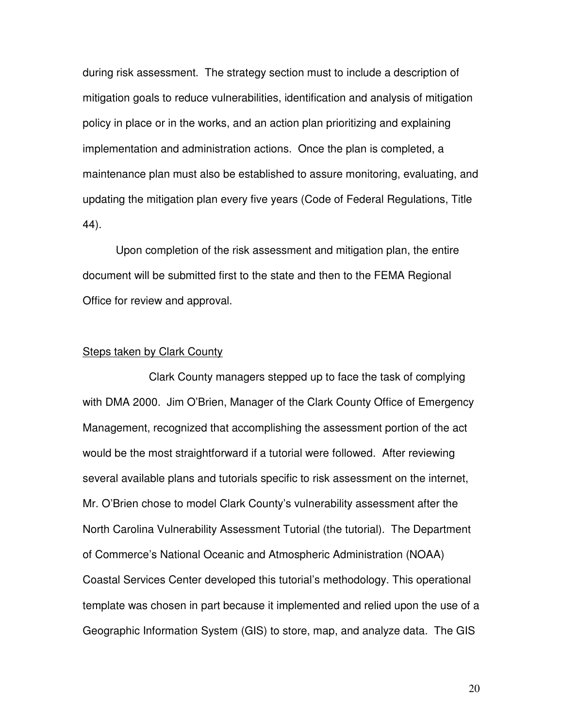during risk assessment. The strategy section must to include a description of mitigation goals to reduce vulnerabilities, identification and analysis of mitigation policy in place or in the works, and an action plan prioritizing and explaining implementation and administration actions. Once the plan is completed, a maintenance plan must also be established to assure monitoring, evaluating, and updating the mitigation plan every five years (Code of Federal Regulations, Title 44).

 Upon completion of the risk assessment and mitigation plan, the entire document will be submitted first to the state and then to the FEMA Regional Office for review and approval.

#### **Steps taken by Clark County**

 Clark County managers stepped up to face the task of complying with DMA 2000. Jim O'Brien, Manager of the Clark County Office of Emergency Management, recognized that accomplishing the assessment portion of the act would be the most straightforward if a tutorial were followed. After reviewing several available plans and tutorials specific to risk assessment on the internet, Mr. O'Brien chose to model Clark County's vulnerability assessment after the North Carolina Vulnerability Assessment Tutorial (the tutorial). The Department of Commerce's National Oceanic and Atmospheric Administration (NOAA) Coastal Services Center developed this tutorial's methodology. This operational template was chosen in part because it implemented and relied upon the use of a Geographic Information System (GIS) to store, map, and analyze data. The GIS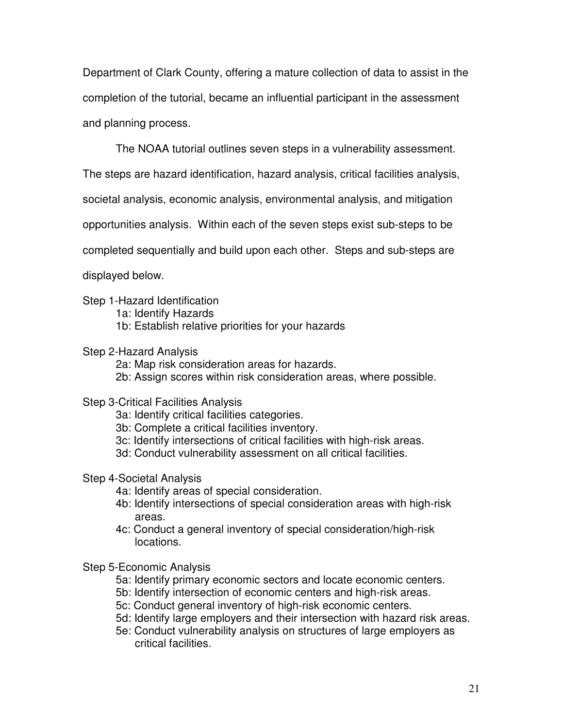Department of Clark County, offering a mature collection of data to assist in the completion of the tutorial, became an influential participant in the assessment and planning process.

The NOAA tutorial outlines seven steps in a vulnerability assessment.

The steps are hazard identification, hazard analysis, critical facilities analysis,

societal analysis, economic analysis, environmental analysis, and mitigation

opportunities analysis. Within each of the seven steps exist sub-steps to be

completed sequentially and build upon each other. Steps and sub-steps are

displayed below.

- Step 1-Hazard Identification
	- 1a: Identify Hazards
	- 1b: Establish relative priorities for your hazards

# Step 2-Hazard Analysis

- 2a: Map risk consideration areas for hazards.
- 2b: Assign scores within risk consideration areas, where possible.

# Step 3-Critical Facilities Analysis

- 3a: Identify critical facilities categories.
- 3b: Complete a critical facilities inventory.
- 3c: Identify intersections of critical facilities with high-risk areas.
- 3d: Conduct vulnerability assessment on all critical facilities.

# Step 4-Societal Analysis

- 4a: Identify areas of special consideration.
- 4b: Identify intersections of special consideration areas with high-risk areas.
- 4c: Conduct a general inventory of special consideration/high-risk locations.
- Step 5-Economic Analysis
	- 5a: Identify primary economic sectors and locate economic centers.
	- 5b: Identify intersection of economic centers and high-risk areas.
	- 5c: Conduct general inventory of high-risk economic centers.
	- 5d: Identify large employers and their intersection with hazard risk areas.
	- 5e: Conduct vulnerability analysis on structures of large employers as critical facilities.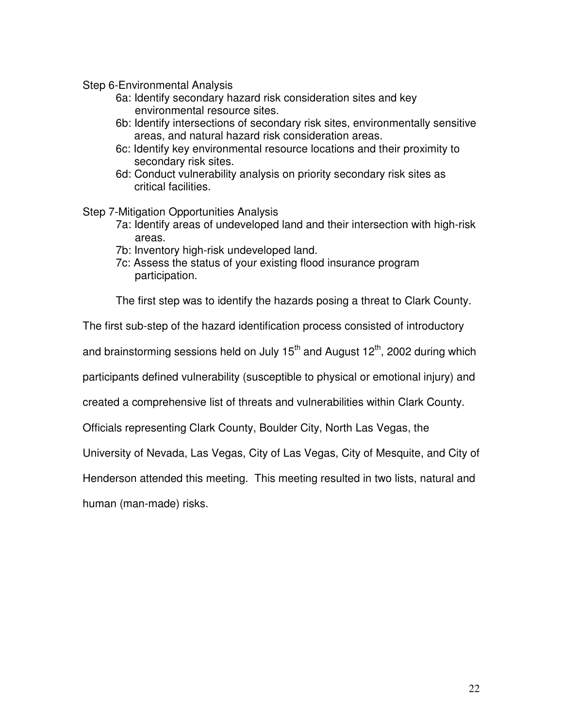Step 6-Environmental Analysis

- 6a: Identify secondary hazard risk consideration sites and key environmental resource sites.
- 6b: Identify intersections of secondary risk sites, environmentally sensitive areas, and natural hazard risk consideration areas.
- 6c: Identify key environmental resource locations and their proximity to secondary risk sites.
- 6d: Conduct vulnerability analysis on priority secondary risk sites as critical facilities.

Step 7-Mitigation Opportunities Analysis

- 7a: Identify areas of undeveloped land and their intersection with high-risk areas.
- 7b: Inventory high-risk undeveloped land.
- 7c: Assess the status of your existing flood insurance program participation.

The first step was to identify the hazards posing a threat to Clark County.

The first sub-step of the hazard identification process consisted of introductory

and brainstorming sessions held on July  $15<sup>th</sup>$  and August  $12<sup>th</sup>$ , 2002 during which

participants defined vulnerability (susceptible to physical or emotional injury) and

created a comprehensive list of threats and vulnerabilities within Clark County.

Officials representing Clark County, Boulder City, North Las Vegas, the

University of Nevada, Las Vegas, City of Las Vegas, City of Mesquite, and City of

Henderson attended this meeting. This meeting resulted in two lists, natural and

human (man-made) risks.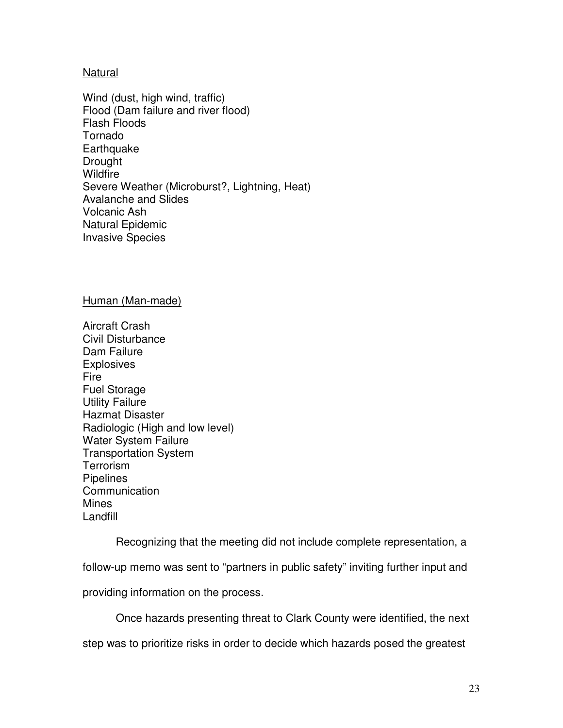# Natural

Wind (dust, high wind, traffic) Flood (Dam failure and river flood) Flash Floods Tornado **Earthquake** Drought Wildfire Severe Weather (Microburst?, Lightning, Heat) Avalanche and Slides Volcanic Ash Natural Epidemic Invasive Species

#### Human (Man-made)

Aircraft Crash Civil Disturbance Dam Failure **Explosives** Fire Fuel Storage Utility Failure Hazmat Disaster Radiologic (High and low level) Water System Failure Transportation System **Terrorism** Pipelines **Communication Mines** Landfill

Recognizing that the meeting did not include complete representation, a

follow-up memo was sent to "partners in public safety" inviting further input and

providing information on the process.

Once hazards presenting threat to Clark County were identified, the next

step was to prioritize risks in order to decide which hazards posed the greatest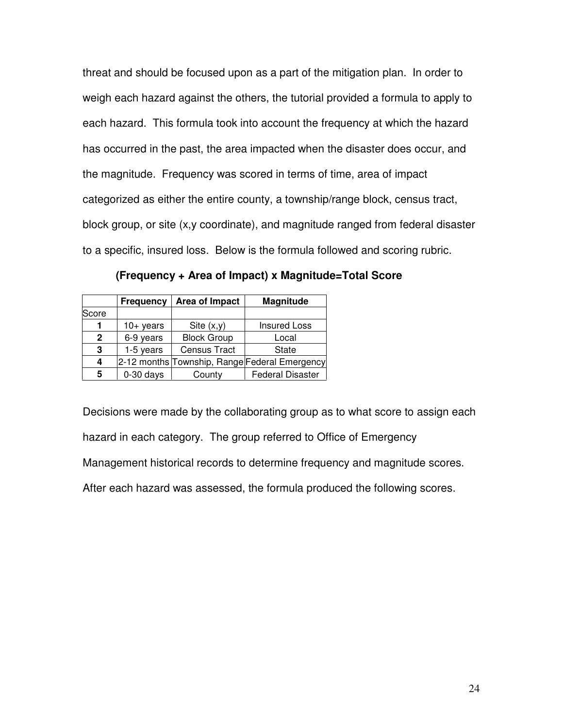threat and should be focused upon as a part of the mitigation plan. In order to weigh each hazard against the others, the tutorial provided a formula to apply to each hazard. This formula took into account the frequency at which the hazard has occurred in the past, the area impacted when the disaster does occur, and the magnitude. Frequency was scored in terms of time, area of impact categorized as either the entire county, a township/range block, census tract, block group, or site (x,y coordinate), and magnitude ranged from federal disaster to a specific, insured loss. Below is the formula followed and scoring rubric.

|                | <b>Frequency</b> | Area of Impact      | <b>Magnitude</b>                              |
|----------------|------------------|---------------------|-----------------------------------------------|
| Score          |                  |                     |                                               |
|                | $10+$ years      | Site $(x,y)$        | <b>Insured Loss</b>                           |
| $\overline{2}$ | 6-9 years        | <b>Block Group</b>  | Local                                         |
| 3              | 1-5 years        | <b>Census Tract</b> | <b>State</b>                                  |
| 4              |                  |                     | 2-12 months Township, Range Federal Emergency |
| 5              | $0-30$ days      | County              | <b>Federal Disaster</b>                       |

**(Frequency + Area of Impact) x Magnitude=Total Score** 

Decisions were made by the collaborating group as to what score to assign each hazard in each category. The group referred to Office of Emergency Management historical records to determine frequency and magnitude scores. After each hazard was assessed, the formula produced the following scores.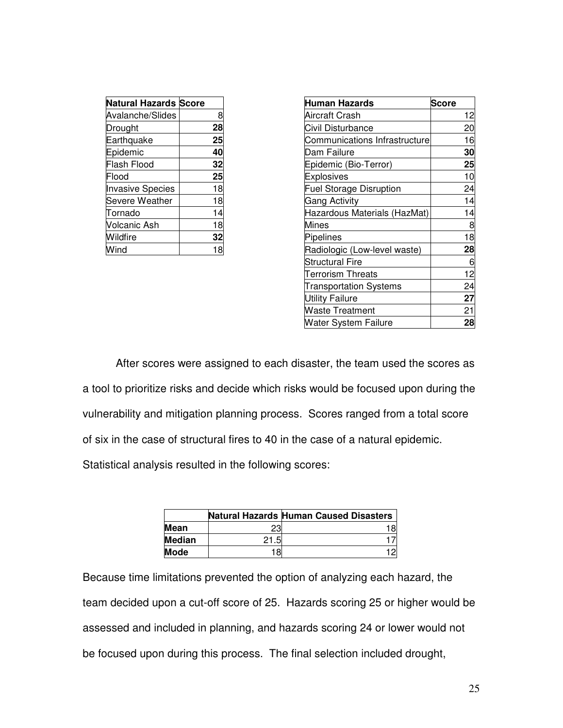| <b>Natural Hazards Score</b> |    |
|------------------------------|----|
| Avalanche/Slides             | 8  |
| Drought                      | 28 |
| Earthquake                   | 25 |
| Epidemic                     | 40 |
| <b>Flash Flood</b>           | 32 |
| Flood                        | 25 |
| <b>Invasive Species</b>      | 18 |
| Severe Weather               | 18 |
| Tornado                      | 14 |
| Volcanic Ash                 | 18 |
| Wildfire                     | 32 |
| Vind                         |    |

| Human Hazards                  | <b>Score</b> |
|--------------------------------|--------------|
| Aircraft Crash                 | 12           |
| Civil Disturbance              | 20           |
| Communications Infrastructure  | 16           |
| Dam Failure                    | 30           |
| Epidemic (Bio-Terror)          | 25           |
| Explosives                     | 10           |
| <b>Fuel Storage Disruption</b> | 24           |
| <b>Gang Activity</b>           | 14           |
| Hazardous Materials (HazMat)   | 14           |
| Mines                          | 8            |
| Pipelines                      | 18           |
| Radiologic (Low-level waste)   | 28           |
| <b>Structural Fire</b>         | 6            |
| <b>Terrorism Threats</b>       | 12           |
| <b>Transportation Systems</b>  | 24           |
| <b>Utility Failure</b>         | 27           |
| <b>Waste Treatment</b>         | 21           |
| <b>Water System Failure</b>    | 28           |

 After scores were assigned to each disaster, the team used the scores as a tool to prioritize risks and decide which risks would be focused upon during the vulnerability and mitigation planning process. Scores ranged from a total score of six in the case of structural fires to 40 in the case of a natural epidemic.

Statistical analysis resulted in the following scores:

|               |      | <b>Natural Hazards Human Caused Disasters</b> |
|---------------|------|-----------------------------------------------|
| <b>Mean</b>   | 23   |                                               |
| <b>Median</b> | 21.5 |                                               |
| <b>Mode</b>   | 18   |                                               |

Because time limitations prevented the option of analyzing each hazard, the team decided upon a cut-off score of 25. Hazards scoring 25 or higher would be assessed and included in planning, and hazards scoring 24 or lower would not be focused upon during this process. The final selection included drought,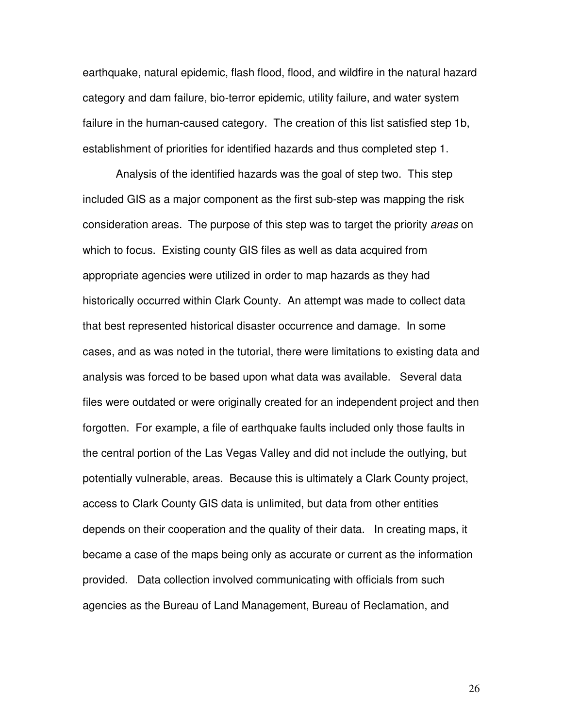earthquake, natural epidemic, flash flood, flood, and wildfire in the natural hazard category and dam failure, bio-terror epidemic, utility failure, and water system failure in the human-caused category. The creation of this list satisfied step 1b, establishment of priorities for identified hazards and thus completed step 1.

 Analysis of the identified hazards was the goal of step two. This step included GIS as a major component as the first sub-step was mapping the risk consideration areas. The purpose of this step was to target the priority areas on which to focus. Existing county GIS files as well as data acquired from appropriate agencies were utilized in order to map hazards as they had historically occurred within Clark County. An attempt was made to collect data that best represented historical disaster occurrence and damage. In some cases, and as was noted in the tutorial, there were limitations to existing data and analysis was forced to be based upon what data was available. Several data files were outdated or were originally created for an independent project and then forgotten. For example, a file of earthquake faults included only those faults in the central portion of the Las Vegas Valley and did not include the outlying, but potentially vulnerable, areas. Because this is ultimately a Clark County project, access to Clark County GIS data is unlimited, but data from other entities depends on their cooperation and the quality of their data. In creating maps, it became a case of the maps being only as accurate or current as the information provided. Data collection involved communicating with officials from such agencies as the Bureau of Land Management, Bureau of Reclamation, and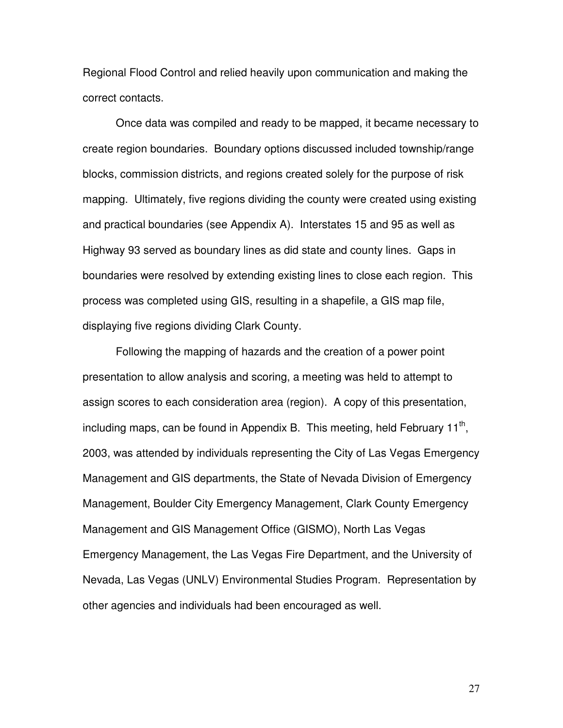Regional Flood Control and relied heavily upon communication and making the correct contacts.

 Once data was compiled and ready to be mapped, it became necessary to create region boundaries. Boundary options discussed included township/range blocks, commission districts, and regions created solely for the purpose of risk mapping. Ultimately, five regions dividing the county were created using existing and practical boundaries (see Appendix A). Interstates 15 and 95 as well as Highway 93 served as boundary lines as did state and county lines. Gaps in boundaries were resolved by extending existing lines to close each region. This process was completed using GIS, resulting in a shapefile, a GIS map file, displaying five regions dividing Clark County.

 Following the mapping of hazards and the creation of a power point presentation to allow analysis and scoring, a meeting was held to attempt to assign scores to each consideration area (region). A copy of this presentation, including maps, can be found in Appendix B. This meeting, held February 11<sup>th</sup>, 2003, was attended by individuals representing the City of Las Vegas Emergency Management and GIS departments, the State of Nevada Division of Emergency Management, Boulder City Emergency Management, Clark County Emergency Management and GIS Management Office (GISMO), North Las Vegas Emergency Management, the Las Vegas Fire Department, and the University of Nevada, Las Vegas (UNLV) Environmental Studies Program. Representation by other agencies and individuals had been encouraged as well.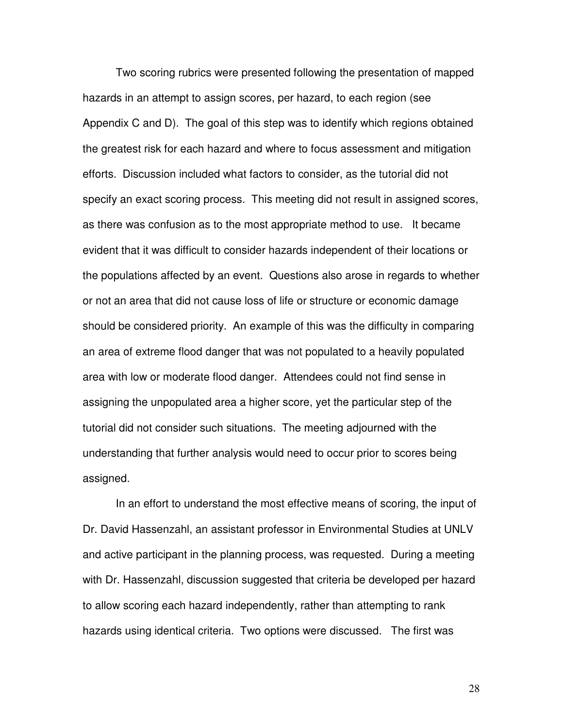Two scoring rubrics were presented following the presentation of mapped hazards in an attempt to assign scores, per hazard, to each region (see Appendix C and D). The goal of this step was to identify which regions obtained the greatest risk for each hazard and where to focus assessment and mitigation efforts. Discussion included what factors to consider, as the tutorial did not specify an exact scoring process. This meeting did not result in assigned scores, as there was confusion as to the most appropriate method to use. It became evident that it was difficult to consider hazards independent of their locations or the populations affected by an event. Questions also arose in regards to whether or not an area that did not cause loss of life or structure or economic damage should be considered priority. An example of this was the difficulty in comparing an area of extreme flood danger that was not populated to a heavily populated area with low or moderate flood danger. Attendees could not find sense in assigning the unpopulated area a higher score, yet the particular step of the tutorial did not consider such situations. The meeting adjourned with the understanding that further analysis would need to occur prior to scores being assigned.

 In an effort to understand the most effective means of scoring, the input of Dr. David Hassenzahl, an assistant professor in Environmental Studies at UNLV and active participant in the planning process, was requested. During a meeting with Dr. Hassenzahl, discussion suggested that criteria be developed per hazard to allow scoring each hazard independently, rather than attempting to rank hazards using identical criteria. Two options were discussed. The first was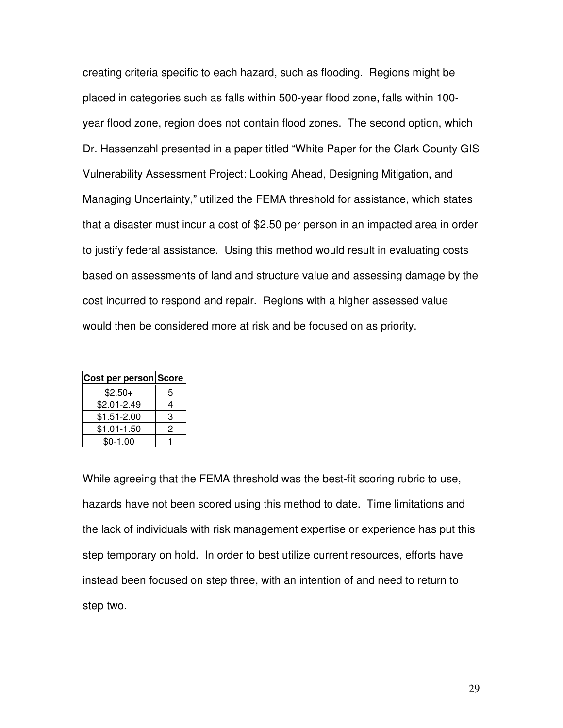creating criteria specific to each hazard, such as flooding. Regions might be placed in categories such as falls within 500-year flood zone, falls within 100 year flood zone, region does not contain flood zones. The second option, which Dr. Hassenzahl presented in a paper titled "White Paper for the Clark County GIS Vulnerability Assessment Project: Looking Ahead, Designing Mitigation, and Managing Uncertainty," utilized the FEMA threshold for assistance, which states that a disaster must incur a cost of \$2.50 per person in an impacted area in order to justify federal assistance. Using this method would result in evaluating costs based on assessments of land and structure value and assessing damage by the cost incurred to respond and repair. Regions with a higher assessed value would then be considered more at risk and be focused on as priority.

| Cost per person Score |   |
|-----------------------|---|
| $$2.50+$              | 5 |
| $$2.01 - 2.49$        | 4 |
| $$1.51 - 2.00$        | 3 |
| $$1.01-1.50$          | 2 |
| $$0-1.00$             |   |

While agreeing that the FEMA threshold was the best-fit scoring rubric to use, hazards have not been scored using this method to date. Time limitations and the lack of individuals with risk management expertise or experience has put this step temporary on hold. In order to best utilize current resources, efforts have instead been focused on step three, with an intention of and need to return to step two.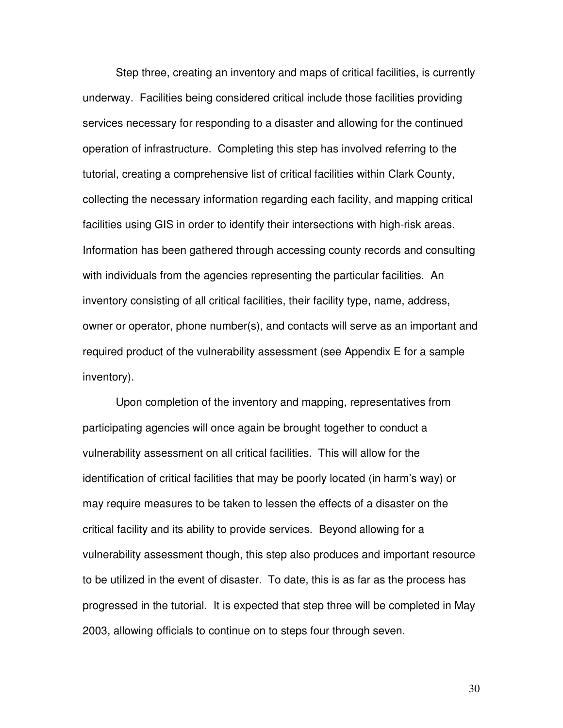Step three, creating an inventory and maps of critical facilities, is currently underway. Facilities being considered critical include those facilities providing services necessary for responding to a disaster and allowing for the continued operation of infrastructure. Completing this step has involved referring to the tutorial, creating a comprehensive list of critical facilities within Clark County, collecting the necessary information regarding each facility, and mapping critical facilities using GIS in order to identify their intersections with high-risk areas. Information has been gathered through accessing county records and consulting with individuals from the agencies representing the particular facilities. An inventory consisting of all critical facilities, their facility type, name, address, owner or operator, phone number(s), and contacts will serve as an important and required product of the vulnerability assessment (see Appendix E for a sample inventory).

 Upon completion of the inventory and mapping, representatives from participating agencies will once again be brought together to conduct a vulnerability assessment on all critical facilities. This will allow for the identification of critical facilities that may be poorly located (in harm's way) or may require measures to be taken to lessen the effects of a disaster on the critical facility and its ability to provide services. Beyond allowing for a vulnerability assessment though, this step also produces and important resource to be utilized in the event of disaster. To date, this is as far as the process has progressed in the tutorial. It is expected that step three will be completed in May 2003, allowing officials to continue on to steps four through seven.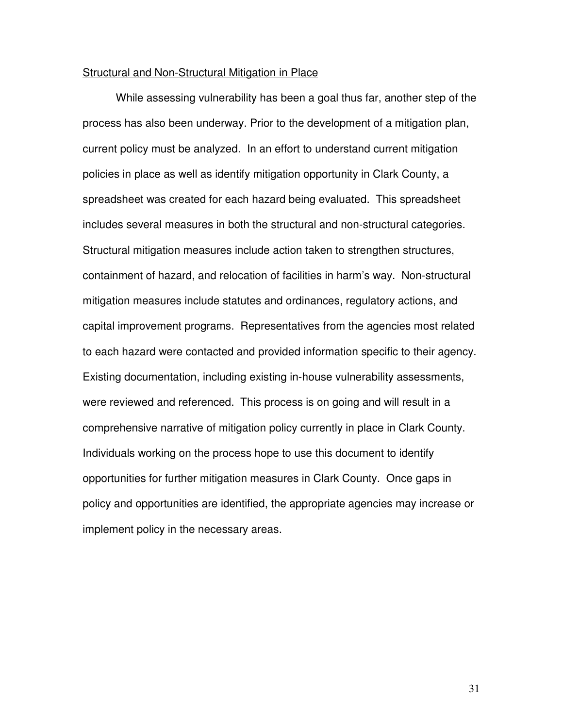#### Structural and Non-Structural Mitigation in Place

 While assessing vulnerability has been a goal thus far, another step of the process has also been underway. Prior to the development of a mitigation plan, current policy must be analyzed. In an effort to understand current mitigation policies in place as well as identify mitigation opportunity in Clark County, a spreadsheet was created for each hazard being evaluated. This spreadsheet includes several measures in both the structural and non-structural categories. Structural mitigation measures include action taken to strengthen structures, containment of hazard, and relocation of facilities in harm's way. Non-structural mitigation measures include statutes and ordinances, regulatory actions, and capital improvement programs. Representatives from the agencies most related to each hazard were contacted and provided information specific to their agency. Existing documentation, including existing in-house vulnerability assessments, were reviewed and referenced. This process is on going and will result in a comprehensive narrative of mitigation policy currently in place in Clark County. Individuals working on the process hope to use this document to identify opportunities for further mitigation measures in Clark County. Once gaps in policy and opportunities are identified, the appropriate agencies may increase or implement policy in the necessary areas.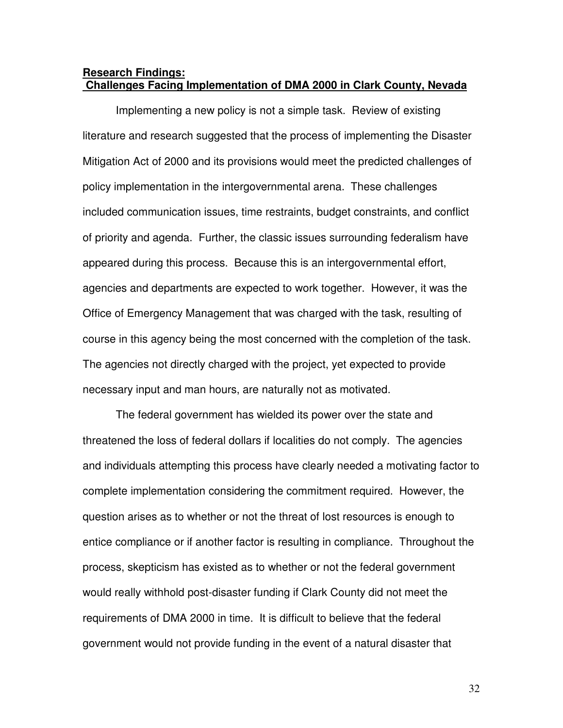# **Research Findings: Challenges Facing Implementation of DMA 2000 in Clark County, Nevada**

 Implementing a new policy is not a simple task. Review of existing literature and research suggested that the process of implementing the Disaster Mitigation Act of 2000 and its provisions would meet the predicted challenges of policy implementation in the intergovernmental arena. These challenges included communication issues, time restraints, budget constraints, and conflict of priority and agenda. Further, the classic issues surrounding federalism have appeared during this process. Because this is an intergovernmental effort, agencies and departments are expected to work together. However, it was the Office of Emergency Management that was charged with the task, resulting of course in this agency being the most concerned with the completion of the task. The agencies not directly charged with the project, yet expected to provide necessary input and man hours, are naturally not as motivated.

The federal government has wielded its power over the state and threatened the loss of federal dollars if localities do not comply. The agencies and individuals attempting this process have clearly needed a motivating factor to complete implementation considering the commitment required. However, the question arises as to whether or not the threat of lost resources is enough to entice compliance or if another factor is resulting in compliance. Throughout the process, skepticism has existed as to whether or not the federal government would really withhold post-disaster funding if Clark County did not meet the requirements of DMA 2000 in time. It is difficult to believe that the federal government would not provide funding in the event of a natural disaster that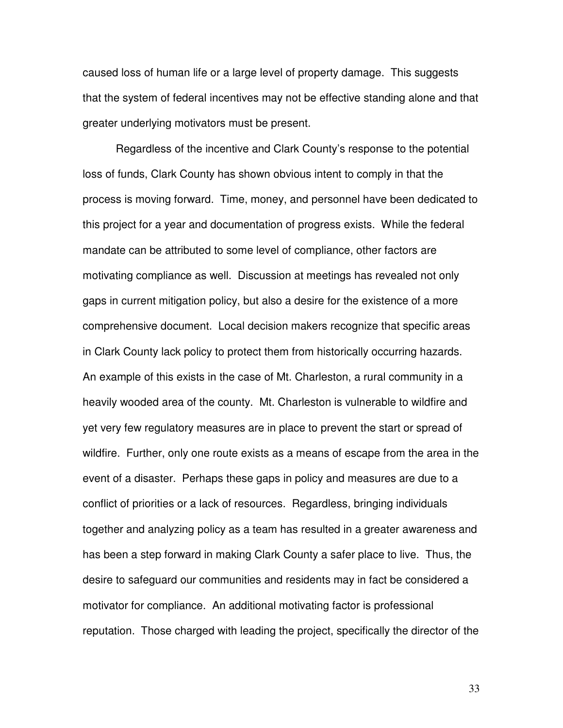caused loss of human life or a large level of property damage. This suggests that the system of federal incentives may not be effective standing alone and that greater underlying motivators must be present.

 Regardless of the incentive and Clark County's response to the potential loss of funds, Clark County has shown obvious intent to comply in that the process is moving forward. Time, money, and personnel have been dedicated to this project for a year and documentation of progress exists. While the federal mandate can be attributed to some level of compliance, other factors are motivating compliance as well. Discussion at meetings has revealed not only gaps in current mitigation policy, but also a desire for the existence of a more comprehensive document. Local decision makers recognize that specific areas in Clark County lack policy to protect them from historically occurring hazards. An example of this exists in the case of Mt. Charleston, a rural community in a heavily wooded area of the county. Mt. Charleston is vulnerable to wildfire and yet very few regulatory measures are in place to prevent the start or spread of wildfire. Further, only one route exists as a means of escape from the area in the event of a disaster. Perhaps these gaps in policy and measures are due to a conflict of priorities or a lack of resources. Regardless, bringing individuals together and analyzing policy as a team has resulted in a greater awareness and has been a step forward in making Clark County a safer place to live. Thus, the desire to safeguard our communities and residents may in fact be considered a motivator for compliance. An additional motivating factor is professional reputation. Those charged with leading the project, specifically the director of the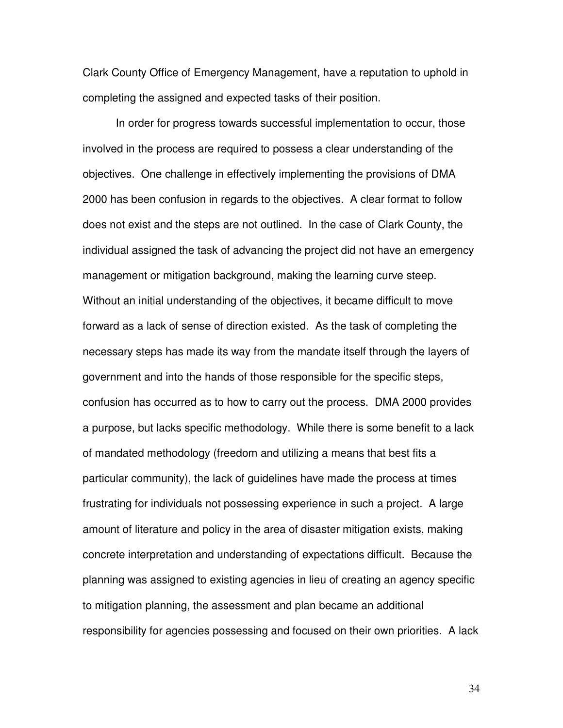Clark County Office of Emergency Management, have a reputation to uphold in completing the assigned and expected tasks of their position.

 In order for progress towards successful implementation to occur, those involved in the process are required to possess a clear understanding of the objectives. One challenge in effectively implementing the provisions of DMA 2000 has been confusion in regards to the objectives. A clear format to follow does not exist and the steps are not outlined. In the case of Clark County, the individual assigned the task of advancing the project did not have an emergency management or mitigation background, making the learning curve steep. Without an initial understanding of the objectives, it became difficult to move forward as a lack of sense of direction existed. As the task of completing the necessary steps has made its way from the mandate itself through the layers of government and into the hands of those responsible for the specific steps, confusion has occurred as to how to carry out the process. DMA 2000 provides a purpose, but lacks specific methodology. While there is some benefit to a lack of mandated methodology (freedom and utilizing a means that best fits a particular community), the lack of guidelines have made the process at times frustrating for individuals not possessing experience in such a project. A large amount of literature and policy in the area of disaster mitigation exists, making concrete interpretation and understanding of expectations difficult. Because the planning was assigned to existing agencies in lieu of creating an agency specific to mitigation planning, the assessment and plan became an additional responsibility for agencies possessing and focused on their own priorities. A lack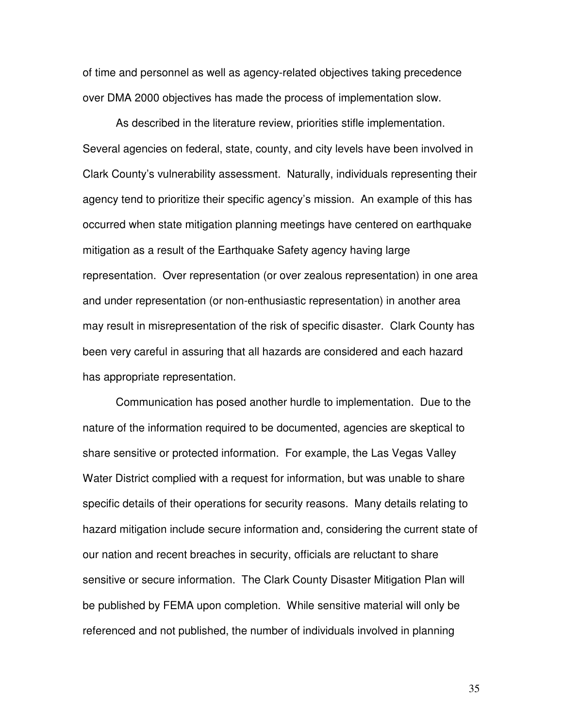of time and personnel as well as agency-related objectives taking precedence over DMA 2000 objectives has made the process of implementation slow.

 As described in the literature review, priorities stifle implementation. Several agencies on federal, state, county, and city levels have been involved in Clark County's vulnerability assessment. Naturally, individuals representing their agency tend to prioritize their specific agency's mission. An example of this has occurred when state mitigation planning meetings have centered on earthquake mitigation as a result of the Earthquake Safety agency having large representation. Over representation (or over zealous representation) in one area and under representation (or non-enthusiastic representation) in another area may result in misrepresentation of the risk of specific disaster. Clark County has been very careful in assuring that all hazards are considered and each hazard has appropriate representation.

 Communication has posed another hurdle to implementation. Due to the nature of the information required to be documented, agencies are skeptical to share sensitive or protected information. For example, the Las Vegas Valley Water District complied with a request for information, but was unable to share specific details of their operations for security reasons. Many details relating to hazard mitigation include secure information and, considering the current state of our nation and recent breaches in security, officials are reluctant to share sensitive or secure information. The Clark County Disaster Mitigation Plan will be published by FEMA upon completion. While sensitive material will only be referenced and not published, the number of individuals involved in planning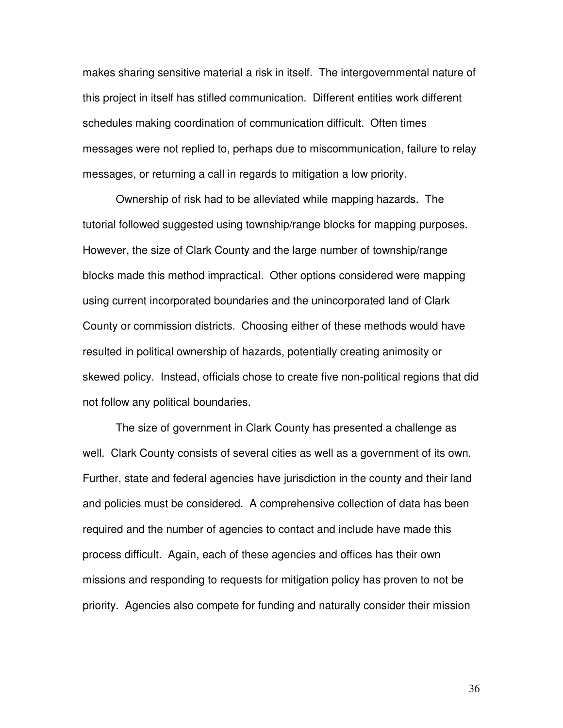makes sharing sensitive material a risk in itself. The intergovernmental nature of this project in itself has stifled communication. Different entities work different schedules making coordination of communication difficult. Often times messages were not replied to, perhaps due to miscommunication, failure to relay messages, or returning a call in regards to mitigation a low priority.

 Ownership of risk had to be alleviated while mapping hazards. The tutorial followed suggested using township/range blocks for mapping purposes. However, the size of Clark County and the large number of township/range blocks made this method impractical. Other options considered were mapping using current incorporated boundaries and the unincorporated land of Clark County or commission districts. Choosing either of these methods would have resulted in political ownership of hazards, potentially creating animosity or skewed policy. Instead, officials chose to create five non-political regions that did not follow any political boundaries.

 The size of government in Clark County has presented a challenge as well. Clark County consists of several cities as well as a government of its own. Further, state and federal agencies have jurisdiction in the county and their land and policies must be considered. A comprehensive collection of data has been required and the number of agencies to contact and include have made this process difficult. Again, each of these agencies and offices has their own missions and responding to requests for mitigation policy has proven to not be priority. Agencies also compete for funding and naturally consider their mission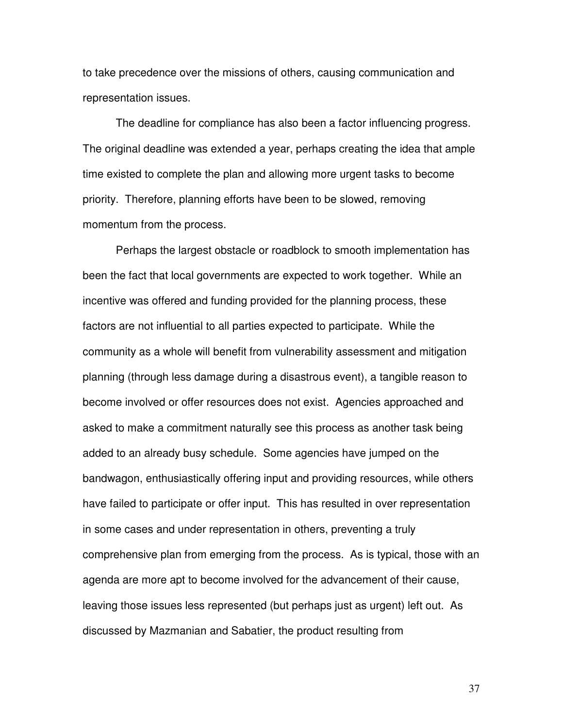to take precedence over the missions of others, causing communication and representation issues.

 The deadline for compliance has also been a factor influencing progress. The original deadline was extended a year, perhaps creating the idea that ample time existed to complete the plan and allowing more urgent tasks to become priority. Therefore, planning efforts have been to be slowed, removing momentum from the process.

 Perhaps the largest obstacle or roadblock to smooth implementation has been the fact that local governments are expected to work together. While an incentive was offered and funding provided for the planning process, these factors are not influential to all parties expected to participate. While the community as a whole will benefit from vulnerability assessment and mitigation planning (through less damage during a disastrous event), a tangible reason to become involved or offer resources does not exist. Agencies approached and asked to make a commitment naturally see this process as another task being added to an already busy schedule. Some agencies have jumped on the bandwagon, enthusiastically offering input and providing resources, while others have failed to participate or offer input. This has resulted in over representation in some cases and under representation in others, preventing a truly comprehensive plan from emerging from the process. As is typical, those with an agenda are more apt to become involved for the advancement of their cause, leaving those issues less represented (but perhaps just as urgent) left out. As discussed by Mazmanian and Sabatier, the product resulting from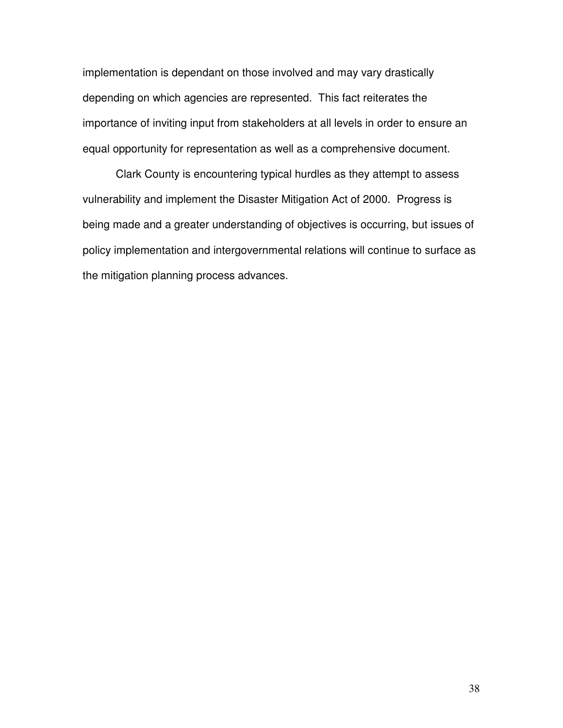implementation is dependant on those involved and may vary drastically depending on which agencies are represented. This fact reiterates the importance of inviting input from stakeholders at all levels in order to ensure an equal opportunity for representation as well as a comprehensive document.

 Clark County is encountering typical hurdles as they attempt to assess vulnerability and implement the Disaster Mitigation Act of 2000. Progress is being made and a greater understanding of objectives is occurring, but issues of policy implementation and intergovernmental relations will continue to surface as the mitigation planning process advances.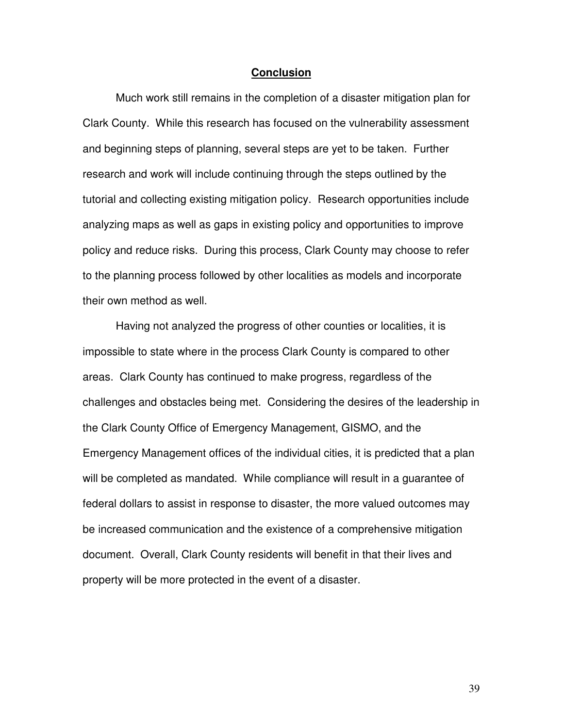#### **Conclusion**

 Much work still remains in the completion of a disaster mitigation plan for Clark County. While this research has focused on the vulnerability assessment and beginning steps of planning, several steps are yet to be taken. Further research and work will include continuing through the steps outlined by the tutorial and collecting existing mitigation policy. Research opportunities include analyzing maps as well as gaps in existing policy and opportunities to improve policy and reduce risks. During this process, Clark County may choose to refer to the planning process followed by other localities as models and incorporate their own method as well.

 Having not analyzed the progress of other counties or localities, it is impossible to state where in the process Clark County is compared to other areas. Clark County has continued to make progress, regardless of the challenges and obstacles being met. Considering the desires of the leadership in the Clark County Office of Emergency Management, GISMO, and the Emergency Management offices of the individual cities, it is predicted that a plan will be completed as mandated. While compliance will result in a guarantee of federal dollars to assist in response to disaster, the more valued outcomes may be increased communication and the existence of a comprehensive mitigation document. Overall, Clark County residents will benefit in that their lives and property will be more protected in the event of a disaster.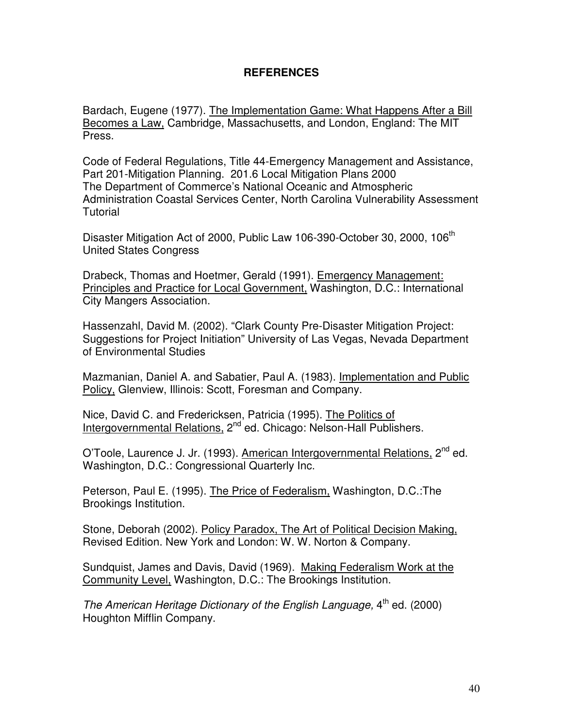# **REFERENCES**

Bardach, Eugene (1977). The Implementation Game: What Happens After a Bill Becomes a Law, Cambridge, Massachusetts, and London, England: The MIT Press.

Code of Federal Regulations, Title 44-Emergency Management and Assistance, Part 201-Mitigation Planning. 201.6 Local Mitigation Plans 2000 The Department of Commerce's National Oceanic and Atmospheric Administration Coastal Services Center, North Carolina Vulnerability Assessment **Tutorial** 

Disaster Mitigation Act of 2000, Public Law 106-390-October 30, 2000, 106<sup>th</sup> United States Congress

Drabeck, Thomas and Hoetmer, Gerald (1991). Emergency Management: Principles and Practice for Local Government, Washington, D.C.: International City Mangers Association.

Hassenzahl, David M. (2002). "Clark County Pre-Disaster Mitigation Project: Suggestions for Project Initiation" University of Las Vegas, Nevada Department of Environmental Studies

Mazmanian, Daniel A. and Sabatier, Paul A. (1983). Implementation and Public Policy, Glenview, Illinois: Scott, Foresman and Company.

Nice, David C. and Fredericksen, Patricia (1995). The Politics of Intergovernmental Relations, 2<sup>nd</sup> ed. Chicago: Nelson-Hall Publishers.

O'Toole, Laurence J. Jr. (1993). American Intergovernmental Relations, 2<sup>nd</sup> ed. Washington, D.C.: Congressional Quarterly Inc.

Peterson, Paul E. (1995). The Price of Federalism, Washington, D.C.:The Brookings Institution.

Stone, Deborah (2002). Policy Paradox, The Art of Political Decision Making, Revised Edition. New York and London: W. W. Norton & Company.

Sundquist, James and Davis, David (1969). Making Federalism Work at the Community Level, Washington, D.C.: The Brookings Institution.

The American Heritage Dictionary of the English Language,  $4<sup>th</sup>$  ed. (2000) Houghton Mifflin Company.